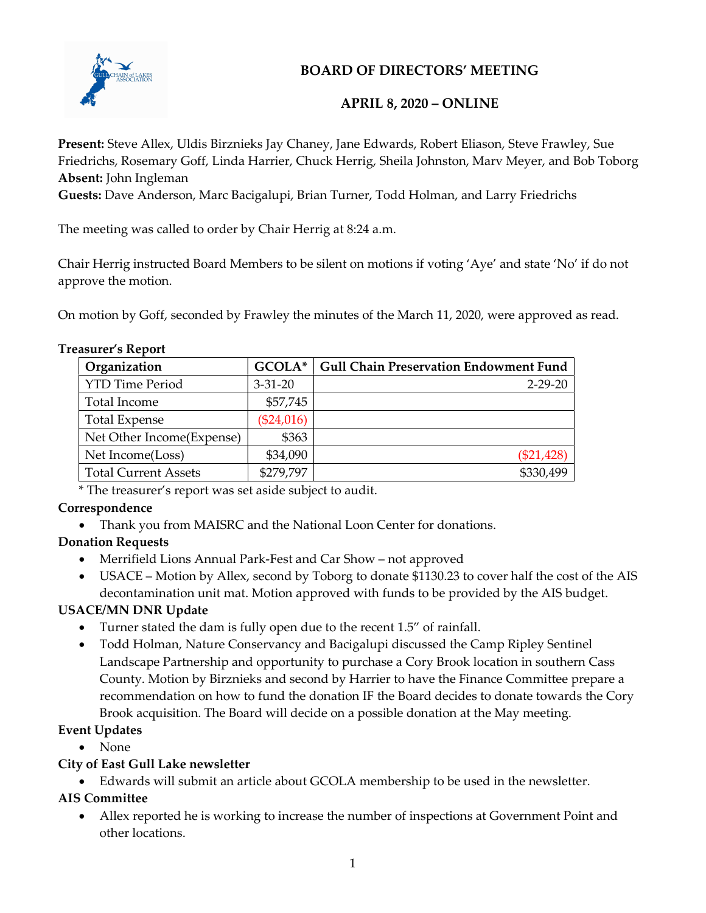

# BOARD OF DIRECTORS' MEETING

## APRIL 8, 2020 – ONLINE

Present: Steve Allex, Uldis Birznieks Jay Chaney, Jane Edwards, Robert Eliason, Steve Frawley, Sue Friedrichs, Rosemary Goff, Linda Harrier, Chuck Herrig, Sheila Johnston, Marv Meyer, and Bob Toborg Absent: John Ingleman

Guests: Dave Anderson, Marc Bacigalupi, Brian Turner, Todd Holman, and Larry Friedrichs

The meeting was called to order by Chair Herrig at 8:24 a.m.

Chair Herrig instructed Board Members to be silent on motions if voting 'Aye' and state 'No' if do not approve the motion.

On motion by Goff, seconded by Frawley the minutes of the March 11, 2020, were approved as read.

#### Treasurer's Report

| Organization                | GCOLA*        | <b>Gull Chain Preservation Endowment Fund</b> |
|-----------------------------|---------------|-----------------------------------------------|
| <b>YTD Time Period</b>      | $3 - 31 - 20$ | $2 - 29 - 20$                                 |
| Total Income                | \$57,745      |                                               |
| <b>Total Expense</b>        | $(\$24,016)$  |                                               |
| Net Other Income (Expense)  | \$363         |                                               |
| Net Income(Loss)            | \$34,090      | $(\$21,428)$                                  |
| <b>Total Current Assets</b> | \$279,797     | \$330,499                                     |

\* The treasurer's report was set aside subject to audit.

## Correspondence

Thank you from MAISRC and the National Loon Center for donations.

## Donation Requests

- Merrifield Lions Annual Park-Fest and Car Show not approved
- USACE Motion by Allex, second by Toborg to donate \$1130.23 to cover half the cost of the AIS decontamination unit mat. Motion approved with funds to be provided by the AIS budget.

## USACE/MN DNR Update

- Turner stated the dam is fully open due to the recent 1.5" of rainfall.
- Todd Holman, Nature Conservancy and Bacigalupi discussed the Camp Ripley Sentinel Landscape Partnership and opportunity to purchase a Cory Brook location in southern Cass County. Motion by Birznieks and second by Harrier to have the Finance Committee prepare a recommendation on how to fund the donation IF the Board decides to donate towards the Cory Brook acquisition. The Board will decide on a possible donation at the May meeting.

## Event Updates

None

### City of East Gull Lake newsletter

Edwards will submit an article about GCOLA membership to be used in the newsletter.

## AIS Committee

 Allex reported he is working to increase the number of inspections at Government Point and other locations.